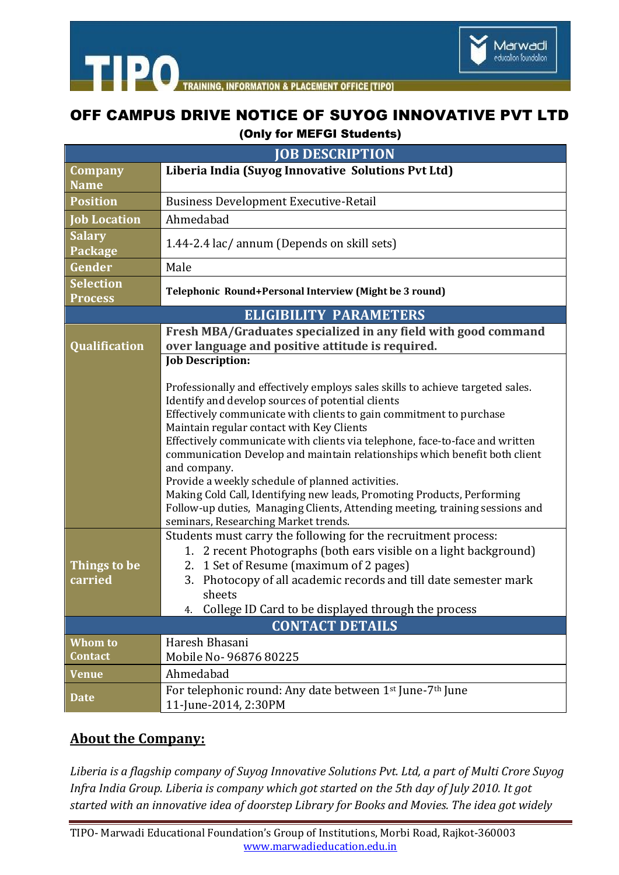

**TIPO INFORMATION & PLACEMENT OFFICE ITIPO1** 

## OFF CAMPUS DRIVE NOTICE OF SUYOG INNOVATIVE PVT LTD (Only for MEFGI Students)

| <b>JOB DESCRIPTION</b>                                         |                                                                                                                  |
|----------------------------------------------------------------|------------------------------------------------------------------------------------------------------------------|
|                                                                |                                                                                                                  |
| Company<br><b>Name</b>                                         | Liberia India (Suyog Innovative Solutions Pvt Ltd)                                                               |
|                                                                |                                                                                                                  |
| <b>Position</b>                                                | <b>Business Development Executive-Retail</b>                                                                     |
| <b>Job Location</b>                                            | Ahmedabad                                                                                                        |
| <b>Salary</b><br>Package                                       | 1.44-2.4 lac/ annum (Depends on skill sets)                                                                      |
| Gender                                                         | Male                                                                                                             |
| Selection<br>Process                                           | Telephonic Round+Personal Interview (Might be 3 round)                                                           |
| <b>ELIGIBILITY PARAMETERS</b>                                  |                                                                                                                  |
| Fresh MBA/Graduates specialized in any field with good command |                                                                                                                  |
| <b>Qualification</b>                                           | over language and positive attitude is required.                                                                 |
|                                                                | <b>Job Description:</b>                                                                                          |
|                                                                |                                                                                                                  |
|                                                                | Professionally and effectively employs sales skills to achieve targeted sales.                                   |
|                                                                | Identify and develop sources of potential clients                                                                |
|                                                                | Effectively communicate with clients to gain commitment to purchase<br>Maintain regular contact with Key Clients |
|                                                                | Effectively communicate with clients via telephone, face-to-face and written                                     |
|                                                                | communication Develop and maintain relationships which benefit both client                                       |
|                                                                | and company.                                                                                                     |
|                                                                | Provide a weekly schedule of planned activities.                                                                 |
|                                                                | Making Cold Call, Identifying new leads, Promoting Products, Performing                                          |
|                                                                | Follow-up duties, Managing Clients, Attending meeting, training sessions and                                     |
|                                                                | seminars, Researching Market trends.<br>Students must carry the following for the recruitment process:           |
|                                                                | 2 recent Photographs (both ears visible on a light background)<br>1.                                             |
| <b>Things to be</b>                                            | 2. 1 Set of Resume (maximum of 2 pages)                                                                          |
| carried                                                        | Photocopy of all academic records and till date semester mark<br>3.                                              |
|                                                                | sheets                                                                                                           |
|                                                                | College ID Card to be displayed through the process<br>4.                                                        |
| <b>CONTACT DETAILS</b>                                         |                                                                                                                  |
| <b>Whom to</b>                                                 | Haresh Bhasani                                                                                                   |
| <b>Contact</b>                                                 | Mobile No-96876 80225                                                                                            |
| <b>Venue</b>                                                   | Ahmedabad                                                                                                        |
|                                                                | For telephonic round: Any date between 1st June-7th June                                                         |
| <b>Date</b>                                                    | 11-June-2014, 2:30PM                                                                                             |

## **About the Company:**

*Liberia is a flagship company of Suyog Innovative Solutions Pvt. Ltd, a part of Multi Crore Suyog Infra India Group. Liberia is company which got started on the 5th day of July 2010. It got started with an innovative idea of doorstep Library for Books and Movies. The idea got widely*